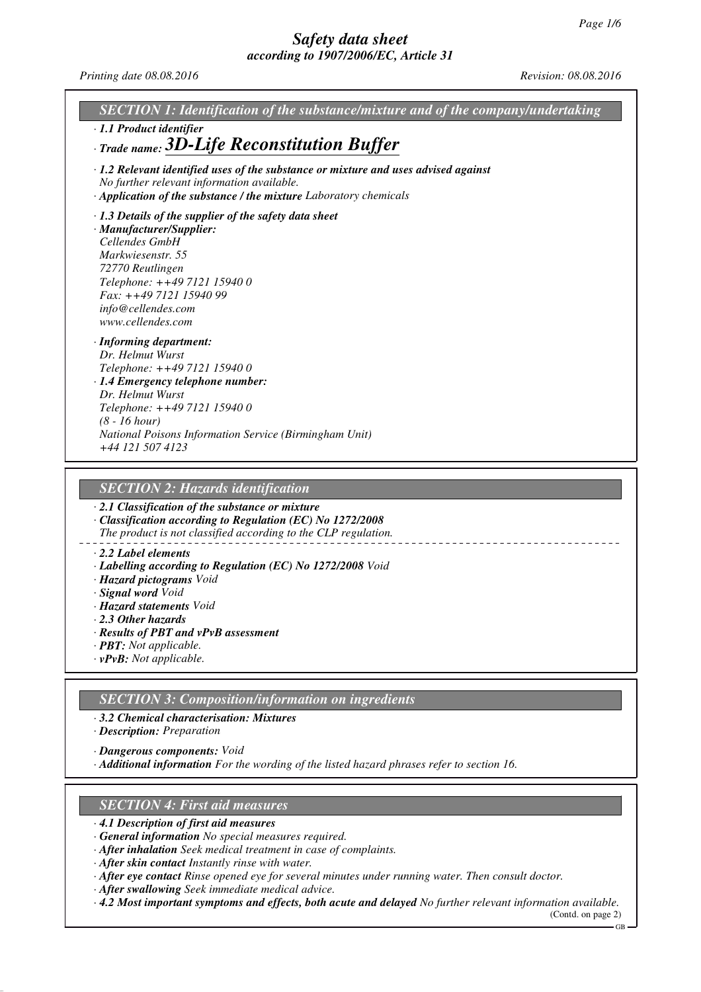*Printing date 08.08.2016 Revision: 08.08.2016*

*SECTION 1: Identification of the substance/mixture and of the company/undertaking · 1.1 Product identifier · Trade name: 3D-Life Reconstitution Buffer · 1.2 Relevant identified uses of the substance or mixture and uses advised against No further relevant information available. · Application of the substance / the mixture Laboratory chemicals · 1.3 Details of the supplier of the safety data sheet · Manufacturer/Supplier: Cellendes GmbH Markwiesenstr. 55 72770 Reutlingen Telephone: ++49 7121 15940 0 Fax: ++49 7121 15940 99 info@cellendes.com www.cellendes.com · Informing department: Dr. Helmut Wurst Telephone: ++49 7121 15940 0 · 1.4 Emergency telephone number: Dr. Helmut Wurst Telephone: ++49 7121 15940 0 (8 - 16 hour) National Poisons Information Service (Birmingham Unit) +44 121 507 4123*

# *SECTION 2: Hazards identification*

*· 2.1 Classification of the substance or mixture*

*· Classification according to Regulation (EC) No 1272/2008 The product is not classified according to the CLP regulation.*

#### *· 2.2 Label elements*

- *· Labelling according to Regulation (EC) No 1272/2008 Void*
- *· Hazard pictograms Void*
- *· Signal word Void*
- *· Hazard statements Void*
- *· 2.3 Other hazards*
- *· Results of PBT and vPvB assessment*
- *· PBT: Not applicable.*
- *· vPvB: Not applicable.*

## *SECTION 3: Composition/information on ingredients*

*· 3.2 Chemical characterisation: Mixtures*

*· Description: Preparation*

*· Dangerous components: Void*

*· Additional information For the wording of the listed hazard phrases refer to section 16.*

### *SECTION 4: First aid measures*

- *· 4.1 Description of first aid measures*
- *· General information No special measures required.*
- *· After inhalation Seek medical treatment in case of complaints.*
- *· After skin contact Instantly rinse with water.*
- *· After eye contact Rinse opened eye for several minutes under running water. Then consult doctor.*
- *· After swallowing Seek immediate medical advice.*
- *· 4.2 Most important symptoms and effects, both acute and delayed No further relevant information available.*

(Contd. on page 2)  $GR$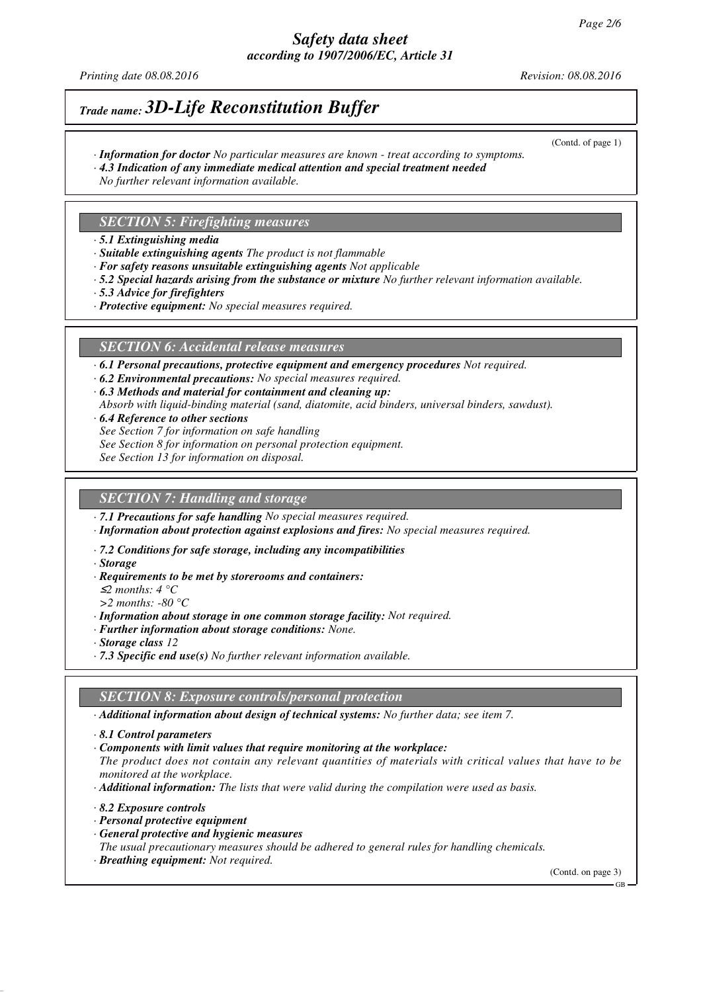# *Safety data sheet according to 1907/2006/EC, Article 31*

*Printing date 08.08.2016 Revision: 08.08.2016*

(Contd. of page 1)

# *Trade name: 3D-Life Reconstitution Buffer*

- *· Information for doctor No particular measures are known treat according to symptoms.*
- *· 4.3 Indication of any immediate medical attention and special treatment needed*
- *No further relevant information available.*

## *SECTION 5: Firefighting measures*

- *· 5.1 Extinguishing media*
- *· Suitable extinguishing agents The product is not flammable*
- *· For safety reasons unsuitable extinguishing agents Not applicable*
- *· 5.2 Special hazards arising from the substance or mixture No further relevant information available.*
- *· 5.3 Advice for firefighters*
- *· Protective equipment: No special measures required.*

### *SECTION 6: Accidental release measures*

*· 6.1 Personal precautions, protective equipment and emergency procedures Not required.*

- *· 6.2 Environmental precautions: No special measures required.*
- *· 6.3 Methods and material for containment and cleaning up:*
- *Absorb with liquid-binding material (sand, diatomite, acid binders, universal binders, sawdust).*
- *· 6.4 Reference to other sections*
- *See Section 7 for information on safe handling*
- *See Section 8 for information on personal protection equipment.*
- *See Section 13 for information on disposal.*

## *SECTION 7: Handling and storage*

*· 7.1 Precautions for safe handling No special measures required.*

- *· Information about protection against explosions and fires: No special measures required.*
- *· 7.2 Conditions for safe storage, including any incompatibilities*
- *· Storage*
- *· Requirements to be met by storerooms and containers:*
- <sup>≤</sup>*2 months: 4 °C*
- *>2 months: -80 °C*
- *· Information about storage in one common storage facility: Not required.*
- *· Further information about storage conditions: None.*
- *· Storage class 12*
- *· 7.3 Specific end use(s) No further relevant information available.*

### *SECTION 8: Exposure controls/personal protection*

*· Additional information about design of technical systems: No further data; see item 7.*

- *· 8.1 Control parameters*
- *· Components with limit values that require monitoring at the workplace:*

*The product does not contain any relevant quantities of materials with critical values that have to be monitored at the workplace.*

- *· Additional information: The lists that were valid during the compilation were used as basis.*
- *· 8.2 Exposure controls*
- *· Personal protective equipment*
- *· General protective and hygienic measures*
- *The usual precautionary measures should be adhered to general rules for handling chemicals.*
- *· Breathing equipment: Not required.*

(Contd. on page 3)

GB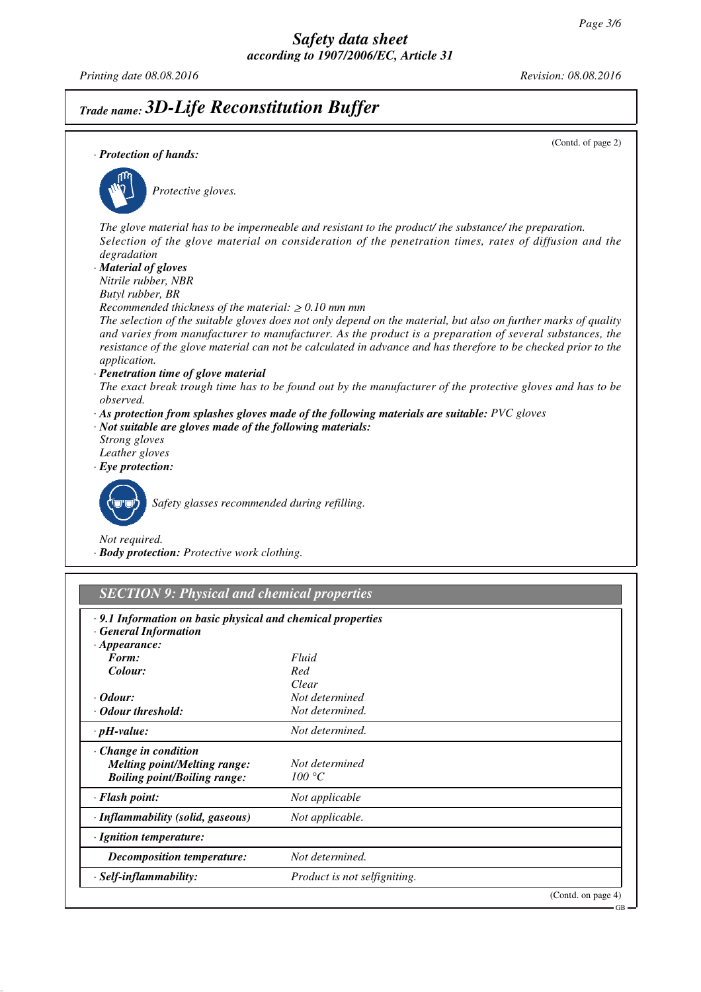*Printing date 08.08.2016 Revision: 08.08.2016*

# *Trade name: 3D-Life Reconstitution Buffer*

| · Protection of hands:                                                                                                               | (Contd. of page 2)                                                                                                                                                                                                                                                                                                                            |
|--------------------------------------------------------------------------------------------------------------------------------------|-----------------------------------------------------------------------------------------------------------------------------------------------------------------------------------------------------------------------------------------------------------------------------------------------------------------------------------------------|
| Protective gloves.                                                                                                                   |                                                                                                                                                                                                                                                                                                                                               |
| degradation<br>· Material of gloves<br>Nitrile rubber, NBR                                                                           | The glove material has to be impermeable and resistant to the product/ the substance/ the preparation.<br>Selection of the glove material on consideration of the penetration times, rates of diffusion and the                                                                                                                               |
| Butyl rubber, BR<br>Recommended thickness of the material: $\geq 0.10$ mm mm<br>application.<br>· Penetration time of glove material | The selection of the suitable gloves does not only depend on the material, but also on further marks of quality<br>and varies from manufacturer to manufacturer. As the product is a preparation of several substances, the<br>resistance of the glove material can not be calculated in advance and has therefore to be checked prior to the |
| observed.                                                                                                                            | The exact break trough time has to be found out by the manufacturer of the protective gloves and has to be<br>$\cdot$ As protection from splashes gloves made of the following materials are suitable: PVC gloves                                                                                                                             |
| $\cdot$ Not suitable are gloves made of the following materials:<br>Strong gloves<br>Leather gloves<br>$\cdot$ Eye protection:       |                                                                                                                                                                                                                                                                                                                                               |
| Safety glasses recommended during refilling.<br>Not required.<br>· Body protection: Protective work clothing.                        |                                                                                                                                                                                                                                                                                                                                               |
| <b>SECTION 9: Physical and chemical properties</b>                                                                                   |                                                                                                                                                                                                                                                                                                                                               |
| .9.1 Information on basic physical and chemical properties<br><b>General Information</b><br>$\cdot$ Appearance:                      |                                                                                                                                                                                                                                                                                                                                               |
| Form:                                                                                                                                | Fluid                                                                                                                                                                                                                                                                                                                                         |
| Colour:                                                                                                                              | Red                                                                                                                                                                                                                                                                                                                                           |
|                                                                                                                                      | Clear                                                                                                                                                                                                                                                                                                                                         |
| $\cdot$ Odour:                                                                                                                       | Not determined                                                                                                                                                                                                                                                                                                                                |
| · Odour threshold:                                                                                                                   | Not determined.                                                                                                                                                                                                                                                                                                                               |
| $\cdot$ pH-value:                                                                                                                    | Not determined.                                                                                                                                                                                                                                                                                                                               |
| Change in condition<br><b>Melting point/Melting range:</b><br><b>Boiling point/Boiling range:</b>                                    | Not determined<br>100 °C                                                                                                                                                                                                                                                                                                                      |
| · Flash point:                                                                                                                       | Not applicable                                                                                                                                                                                                                                                                                                                                |
| · Inflammability (solid, gaseous)                                                                                                    | Not applicable.                                                                                                                                                                                                                                                                                                                               |
| · Ignition temperature:                                                                                                              |                                                                                                                                                                                                                                                                                                                                               |
| <b>Decomposition temperature:</b>                                                                                                    | Not determined.                                                                                                                                                                                                                                                                                                                               |
| · Self-inflammability:                                                                                                               | Product is not selfigniting.                                                                                                                                                                                                                                                                                                                  |

(Contd. on page 4)

GB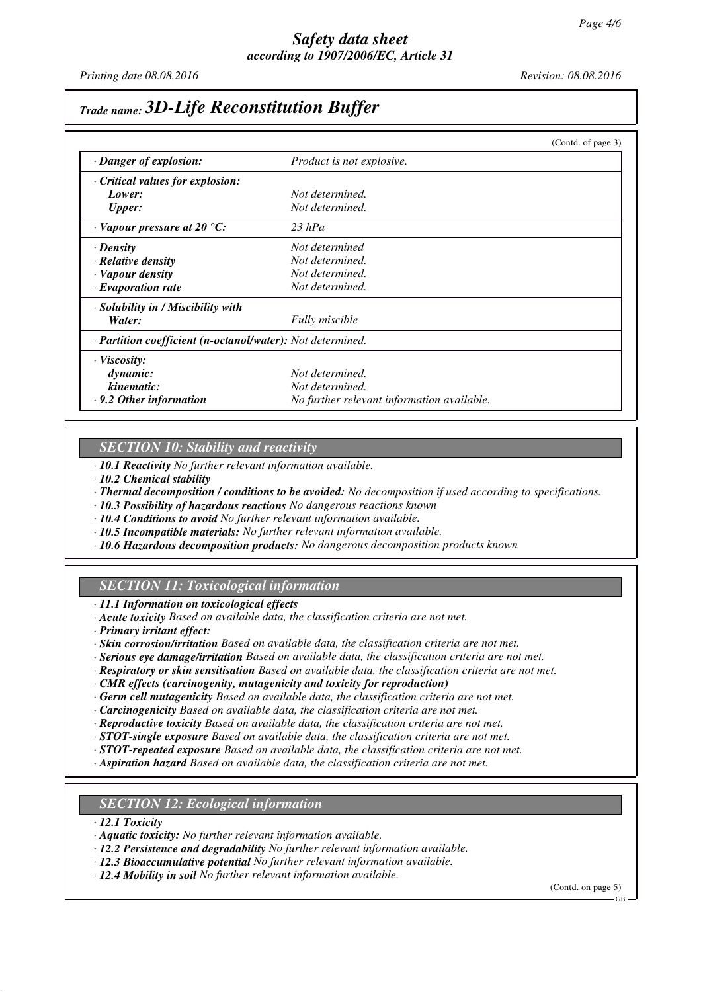# *Trade name: 3D-Life Reconstitution Buffer*

|                                                            |                                            | (Contd. of page 3) |
|------------------------------------------------------------|--------------------------------------------|--------------------|
| · Danger of explosion:                                     | <i>Product is not explosive.</i>           |                    |
| Critical values for explosion:                             |                                            |                    |
| Lower:                                                     | Not determined.                            |                    |
| <b>Upper:</b>                                              | Not determined.                            |                    |
| $\cdot$ Vapour pressure at 20 °C:                          | $23$ hPa                                   |                    |
| · Density                                                  | Not determined                             |                    |
| · Relative density                                         | Not determined.                            |                    |
| · Vapour density                                           | Not determined.                            |                    |
| $\cdot$ Evaporation rate                                   | Not determined.                            |                    |
| · Solubility in / Miscibility with                         |                                            |                    |
| Water:                                                     | <b>Fully</b> miscible                      |                    |
| · Partition coefficient (n-octanol/water): Not determined. |                                            |                    |
| $\cdot$ Viscosity:                                         |                                            |                    |
| dynamic:                                                   | Not determined.                            |                    |
| kinematic:                                                 | Not determined.                            |                    |
| $\cdot$ 9.2 Other information                              | No further relevant information available. |                    |

### *SECTION 10: Stability and reactivity*

*· 10.1 Reactivity No further relevant information available.*

- *· 10.2 Chemical stability*
- *· Thermal decomposition / conditions to be avoided: No decomposition if used according to specifications.*
- *· 10.3 Possibility of hazardous reactions No dangerous reactions known*
- *· 10.4 Conditions to avoid No further relevant information available.*
- *· 10.5 Incompatible materials: No further relevant information available.*
- *· 10.6 Hazardous decomposition products: No dangerous decomposition products known*

# *SECTION 11: Toxicological information*

*· 11.1 Information on toxicological effects*

- *· Acute toxicity Based on available data, the classification criteria are not met.*
- *· Primary irritant effect:*
- *· Skin corrosion/irritation Based on available data, the classification criteria are not met.*
- *· Serious eye damage/irritation Based on available data, the classification criteria are not met.*
- *· Respiratory or skin sensitisation Based on available data, the classification criteria are not met.*

*· CMR effects (carcinogenity, mutagenicity and toxicity for reproduction)*

- *· Germ cell mutagenicity Based on available data, the classification criteria are not met.*
- *· Carcinogenicity Based on available data, the classification criteria are not met.*
- *· Reproductive toxicity Based on available data, the classification criteria are not met.*
- *· STOT-single exposure Based on available data, the classification criteria are not met.*
- *· STOT-repeated exposure Based on available data, the classification criteria are not met.*
- *· Aspiration hazard Based on available data, the classification criteria are not met.*

### *SECTION 12: Ecological information*

*· 12.1 Toxicity*

- *· Aquatic toxicity: No further relevant information available.*
- *· 12.2 Persistence and degradability No further relevant information available.*
- *· 12.3 Bioaccumulative potential No further relevant information available.*
- *· 12.4 Mobility in soil No further relevant information available.*

(Contd. on page 5)

GB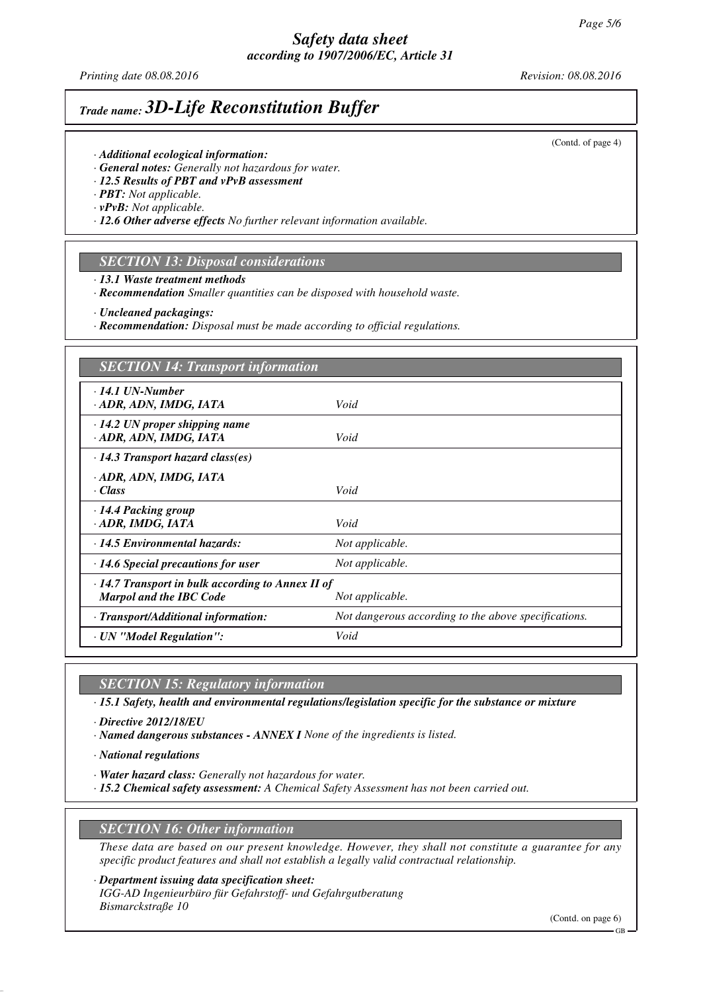# *Safety data sheet according to 1907/2006/EC, Article 31*

*Printing date 08.08.2016 Revision: 08.08.2016*

(Contd. of page 4)

# *Trade name: 3D-Life Reconstitution Buffer*

- *· Additional ecological information:*
- *· General notes: Generally not hazardous for water.*
- *· 12.5 Results of PBT and vPvB assessment*
- *· PBT: Not applicable.*
- *· vPvB: Not applicable.*
- *· 12.6 Other adverse effects No further relevant information available.*

# *SECTION 13: Disposal considerations*

*· 13.1 Waste treatment methods*

*· Recommendation Smaller quantities can be disposed with household waste.*

*· Uncleaned packagings:*

*· Recommendation: Disposal must be made according to official regulations.*

### *SECTION 14: Transport information*

| $\cdot$ 14.1 UN-Number<br>· ADR, ADN, IMDG, IATA                                                             | Void                                                 |  |
|--------------------------------------------------------------------------------------------------------------|------------------------------------------------------|--|
| $\cdot$ 14.2 UN proper shipping name<br>· ADR, ADN, IMDG, IATA                                               | Void                                                 |  |
| $\cdot$ 14.3 Transport hazard class(es)                                                                      |                                                      |  |
| · ADR, ADN, IMDG, IATA<br>· Class                                                                            | Void                                                 |  |
| $\cdot$ 14.4 Packing group<br>· ADR, IMDG, IATA                                                              | Void                                                 |  |
| $\cdot$ 14.5 Environmental hazards:                                                                          | Not applicable.                                      |  |
| $\cdot$ 14.6 Special precautions for user                                                                    | Not applicable.                                      |  |
| $\cdot$ 14.7 Transport in bulk according to Annex II of<br><b>Marpol and the IBC Code</b><br>Not applicable. |                                                      |  |
| · Transport/Additional information:                                                                          | Not dangerous according to the above specifications. |  |
| · UN "Model Regulation":                                                                                     | Void                                                 |  |

## *SECTION 15: Regulatory information*

*· 15.1 Safety, health and environmental regulations/legislation specific for the substance or mixture*

*· Directive 2012/18/EU*

*· Named dangerous substances - ANNEX I None of the ingredients is listed.*

*· National regulations*

- *· Water hazard class: Generally not hazardous for water.*
- *· 15.2 Chemical safety assessment: A Chemical Safety Assessment has not been carried out.*

## *SECTION 16: Other information*

*These data are based on our present knowledge. However, they shall not constitute a guarantee for any specific product features and shall not establish a legally valid contractual relationship.*

#### *· Department issuing data specification sheet:*

*IGG-AD Ingenieurbüro für Gefahrstoff- und Gefahrgutberatung Bismarckstraße 10*

(Contd. on page 6)

GB